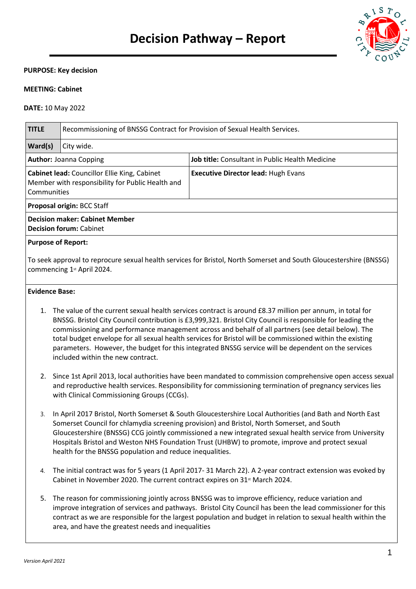

#### **PURPOSE: Key decision**

#### **MEETING: Cabinet**

#### **DATE:** 10 May 2022

| <b>TITLE</b>                                                                                                                                                                                                                                                                                                                                                                                                                                     | Recommissioning of BNSSG Contract for Provision of Sexual Health Services. |                                                 |  |  |  |
|--------------------------------------------------------------------------------------------------------------------------------------------------------------------------------------------------------------------------------------------------------------------------------------------------------------------------------------------------------------------------------------------------------------------------------------------------|----------------------------------------------------------------------------|-------------------------------------------------|--|--|--|
| Ward(s)                                                                                                                                                                                                                                                                                                                                                                                                                                          | City wide.                                                                 |                                                 |  |  |  |
| <b>Author: Joanna Copping</b>                                                                                                                                                                                                                                                                                                                                                                                                                    |                                                                            | Job title: Consultant in Public Health Medicine |  |  |  |
| Cabinet lead: Councillor Ellie King, Cabinet<br>Member with responsibility for Public Health and<br>Communities                                                                                                                                                                                                                                                                                                                                  |                                                                            | <b>Executive Director lead: Hugh Evans</b>      |  |  |  |
| Proposal origin: BCC Staff                                                                                                                                                                                                                                                                                                                                                                                                                       |                                                                            |                                                 |  |  |  |
| <b>Decision maker: Cabinet Member</b><br><b>Decision forum: Cabinet</b>                                                                                                                                                                                                                                                                                                                                                                          |                                                                            |                                                 |  |  |  |
| <b>Purpose of Report:</b>                                                                                                                                                                                                                                                                                                                                                                                                                        |                                                                            |                                                 |  |  |  |
| To seek approval to reprocure sexual health services for Bristol, North Somerset and South Gloucestershire (BNSSG)<br>commencing 1st April 2024.                                                                                                                                                                                                                                                                                                 |                                                                            |                                                 |  |  |  |
| <b>Evidence Base:</b>                                                                                                                                                                                                                                                                                                                                                                                                                            |                                                                            |                                                 |  |  |  |
| The value of the current sexual health services contract is around £8.37 million per annum, in total for<br>1.<br>BNSSG. Bristol City Council contribution is £3,999,321. Bristol City Council is responsible for leading the<br>commissioning and performance management across and behalf of all partners (see detail below). The<br>total budget envelope for all sexual health services for Bristol will be commissioned within the existing |                                                                            |                                                 |  |  |  |

- parameters. However, the budget for this integrated BNSSG service will be dependent on the services included within the new contract.
- 2. Since 1st April 2013, local authorities have been mandated to commission comprehensive open access sexual and reproductive health services. Responsibility for commissioning termination of pregnancy services lies with Clinical Commissioning Groups (CCGs).
- 3. In April 2017 Bristol, North Somerset & South Gloucestershire Local Authorities (and Bath and North East Somerset Council for chlamydia screening provision) and Bristol, North Somerset, and South Gloucestershire (BNSSG) CCG jointly commissioned a new integrated sexual health service from University Hospitals Bristol and Weston NHS Foundation Trust (UHBW) to promote, improve and protect sexual health for the BNSSG population and reduce inequalities.
- 4. The initial contract was for 5 years (1 April 2017- 31 March 22). A 2-year contract extension was evoked by Cabinet in November 2020. The current contract expires on 31<sup>st</sup> March 2024.
- 5. The reason for commissioning jointly across BNSSG was to improve efficiency, reduce variation and improve integration of services and pathways. Bristol City Council has been the lead commissioner for this contract as we are responsible for the largest population and budget in relation to sexual health within the area, and have the greatest needs and inequalities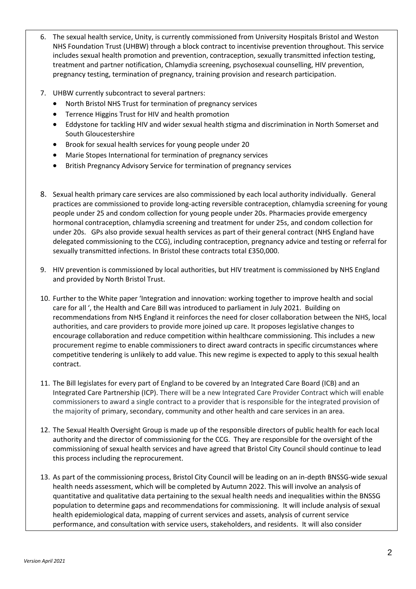- 6. The sexual health service, Unity, is currently commissioned from University Hospitals Bristol and Weston NHS Foundation Trust (UHBW) through a block contract to incentivise prevention throughout. This service includes sexual health promotion and prevention, contraception, sexually transmitted infection testing, treatment and partner notification, Chlamydia screening, psychosexual counselling, HIV prevention, pregnancy testing, termination of pregnancy, training provision and research participation.
- 7. UHBW currently subcontract to several partners:
	- North Bristol NHS Trust for termination of pregnancy services
	- **•** Terrence Higgins Trust for HIV and health promotion
	- Eddystone for tackling HIV and wider sexual health stigma and discrimination in North Somerset and South Gloucestershire
	- Brook for sexual health services for young people under 20
	- Marie Stopes International for termination of pregnancy services
	- British Pregnancy Advisory Service for termination of pregnancy services
- 8. Sexual health primary care services are also commissioned by each local authority individually. General practices are commissioned to provide long-acting reversible contraception, chlamydia screening for young people under 25 and condom collection for young people under 20s. Pharmacies provide emergency hormonal contraception, chlamydia screening and treatment for under 25s, and condom collection for under 20s. GPs also provide sexual health services as part of their general contract (NHS England have delegated commissioning to the CCG), including contraception, pregnancy advice and testing or referral for sexually transmitted infections. In Bristol these contracts total £350,000.
- 9. HIV prevention is commissioned by local authorities, but HIV treatment is commissioned by NHS England and provided by North Bristol Trust.
- 10. Further to the White paper 'Integration and innovation: working together to improve health and social care for all ', the Health and Care Bill was introduced to parliament in July 2021. Building on recommendations from NHS England it reinforces the need for closer collaboration between the NHS, local authorities, and care providers to provide more joined up care. It proposes legislative changes to encourage collaboration and reduce competition within healthcare commissioning. This includes a new procurement regime to enable commissioners to direct award contracts in specific circumstances where competitive tendering is unlikely to add value. This new regime is expected to apply to this sexual health contract.
- 11. The Bill legislates for every part of England to be covered by an Integrated Care Board (ICB) and an Integrated Care Partnership (ICP). There will be a new Integrated Care Provider Contract which will enable commissioners to award a single contract to a provider that is responsible for the integrated provision of the majority of primary, secondary, community and other health and care services in an area.
- 12. The Sexual Health Oversight Group is made up of the responsible directors of public health for each local authority and the director of commissioning for the CCG. They are responsible for the oversight of the commissioning of sexual health services and have agreed that Bristol City Council should continue to lead this process including the reprocurement.
- 13. As part of the commissioning process, Bristol City Council will be leading on an in-depth BNSSG-wide sexual health needs assessment, which will be completed by Autumn 2022. This will involve an analysis of quantitative and qualitative data pertaining to the sexual health needs and inequalities within the BNSSG population to determine gaps and recommendations for commissioning. It will include analysis of sexual health epidemiological data, mapping of current services and assets, analysis of current service performance, and consultation with service users, stakeholders, and residents. It will also consider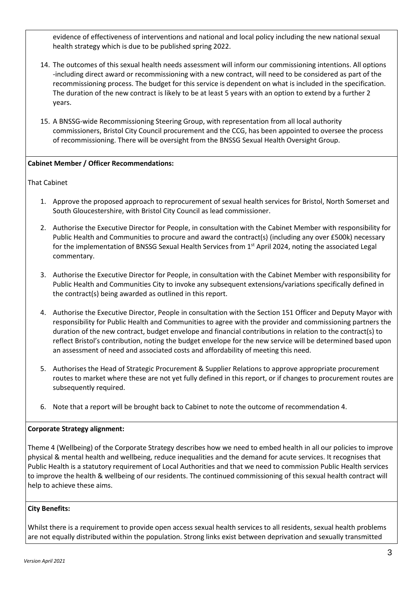evidence of effectiveness of interventions and national and local policy including the new national sexual health strategy which is due to be published spring 2022.

- 14. The outcomes of this sexual health needs assessment will inform our commissioning intentions. All options -including direct award or recommissioning with a new contract, will need to be considered as part of the recommissioning process. The budget for this service is dependent on what is included in the specification. The duration of the new contract is likely to be at least 5 years with an option to extend by a further 2 years.
- 15. A BNSSG-wide Recommissioning Steering Group, with representation from all local authority commissioners, Bristol City Council procurement and the CCG, has been appointed to oversee the process of recommissioning. There will be oversight from the BNSSG Sexual Health Oversight Group.

## **Cabinet Member / Officer Recommendations:**

That Cabinet

- 1. Approve the proposed approach to reprocurement of sexual health services for Bristol, North Somerset and South Gloucestershire, with Bristol City Council as lead commissioner.
- 2. Authorise the Executive Director for People, in consultation with the Cabinet Member with responsibility for Public Health and Communities to procure and award the contract(s) (including any over £500k) necessary for the implementation of BNSSG Sexual Health Services from 1<sup>st</sup> April 2024, noting the associated Legal commentary.
- 3. Authorise the Executive Director for People, in consultation with the Cabinet Member with responsibility for Public Health and Communities City to invoke any subsequent extensions/variations specifically defined in the contract(s) being awarded as outlined in this report.
- 4. Authorise the Executive Director, People in consultation with the Section 151 Officer and Deputy Mayor with responsibility for Public Health and Communities to agree with the provider and commissioning partners the duration of the new contract, budget envelope and financial contributions in relation to the contract(s) to reflect Bristol's contribution, noting the budget envelope for the new service will be determined based upon an assessment of need and associated costs and affordability of meeting this need.
- 5. Authorises the Head of Strategic Procurement & Supplier Relations to approve appropriate procurement routes to market where these are not yet fully defined in this report, or if changes to procurement routes are subsequently required.
- 6. Note that a report will be brought back to Cabinet to note the outcome of recommendation 4.

### **Corporate Strategy alignment:**

Theme 4 (Wellbeing) of the Corporate Strategy describes how we need to embed health in all our policies to improve physical & mental health and wellbeing, reduce inequalities and the demand for acute services. It recognises that Public Health is a statutory requirement of Local Authorities and that we need to commission Public Health services to improve the health & wellbeing of our residents. The continued commissioning of this sexual health contract will help to achieve these aims.

# **City Benefits:**

Whilst there is a requirement to provide open access sexual health services to all residents, sexual health problems are not equally distributed within the population. Strong links exist between deprivation and sexually transmitted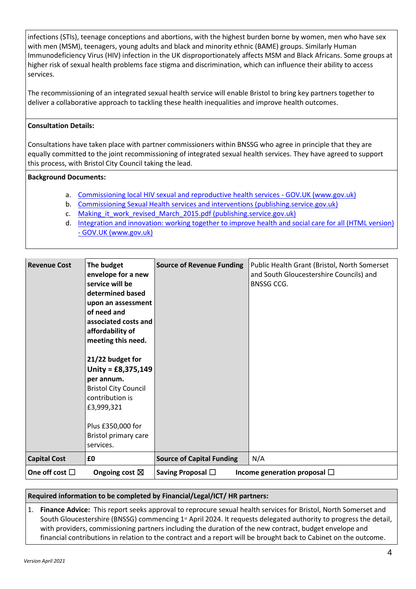infections (STIs), teenage conceptions and abortions, with the highest burden borne by women, men who have sex with men (MSM), teenagers, young adults and black and minority ethnic (BAME) groups. Similarly Human Immunodeficiency Virus (HIV) infection in the UK disproportionately affects MSM and Black Africans. Some groups at higher risk of sexual health problems face stigma and discrimination, which can influence their ability to access services.

The recommissioning of an integrated sexual health service will enable Bristol to bring key partners together to deliver a collaborative approach to tackling these health inequalities and improve health outcomes.

# **Consultation Details:**

Consultations have taken place with partner commissioners within BNSSG who agree in principle that they are equally committed to the joint recommissioning of integrated sexual health services. They have agreed to support this process, with Bristol City Council taking the lead.

## **Background Documents:**

- a. [Commissioning local HIV sexual and reproductive health services -](https://www.gov.uk/guidance/commissioning-regional-and-local-sexual-health-services) GOV.UK (www.gov.uk)
- b. [Commissioning Sexual Health services and interventions \(publishing.service.gov.uk\)](https://assets.publishing.service.gov.uk/government/uploads/system/uploads/attachment_data/file/144184/Sexual_Health_best_practice_guidance_for_local_authorities_with_IRB.pdf)
- c. Making it work revised March 2015.pdf (publishing.service.gov.uk)
- d. [Integration and innovation: working together to improve health and social care for all \(HTML version\)](https://www.gov.uk/government/publications/working-together-to-improve-health-and-social-care-for-all/integration-and-innovation-working-together-to-improve-health-and-social-care-for-all-html-version)  - [GOV.UK \(www.gov.uk\)](https://www.gov.uk/government/publications/working-together-to-improve-health-and-social-care-for-all/integration-and-innovation-working-together-to-improve-health-and-social-care-for-all-html-version)

| <b>Revenue Cost</b>    | The budget<br>envelope for a new<br>service will be<br>determined based<br>upon an assessment<br>of need and<br>associated costs and<br>affordability of<br>meeting this need.<br>21/22 budget for<br>Unity = $£8,375,149$<br>per annum.<br><b>Bristol City Council</b><br>contribution is<br>£3,999,321<br>Plus £350,000 for<br>Bristol primary care<br>services. | <b>Source of Revenue Funding</b>                            | Public Health Grant (Bristol, North Somerset<br>and South Gloucestershire Councils) and<br><b>BNSSG CCG.</b> |  |
|------------------------|--------------------------------------------------------------------------------------------------------------------------------------------------------------------------------------------------------------------------------------------------------------------------------------------------------------------------------------------------------------------|-------------------------------------------------------------|--------------------------------------------------------------------------------------------------------------|--|
| <b>Capital Cost</b>    | £0                                                                                                                                                                                                                                                                                                                                                                 | <b>Source of Capital Funding</b>                            | N/A                                                                                                          |  |
| One off cost $\square$ | Ongoing cost $\boxtimes$                                                                                                                                                                                                                                                                                                                                           | Saving Proposal $\Box$<br>Income generation proposal $\Box$ |                                                                                                              |  |

### **Required information to be completed by Financial/Legal/ICT/ HR partners:**

1. **Finance Advice:** This report seeks approval to reprocure sexual health services for Bristol, North Somerset and South Gloucestershire (BNSSG) commencing 1st April 2024. It requests delegated authority to progress the detail, with providers, commissioning partners including the duration of the new contract, budget envelope and financial contributions in relation to the contract and a report will be brought back to Cabinet on the outcome.